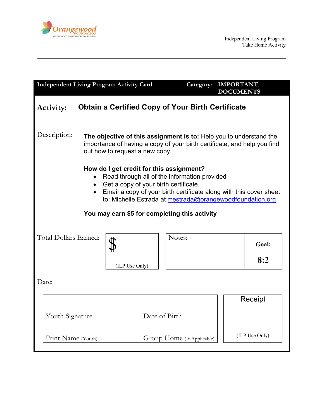

| <b>Independent Living Program Activity Card</b>                                                                                                                                                                                                                        |                | Category:                  | <b>IMPORTANT</b><br><b>DOCUMENTS</b> |                |  |
|------------------------------------------------------------------------------------------------------------------------------------------------------------------------------------------------------------------------------------------------------------------------|----------------|----------------------------|--------------------------------------|----------------|--|
| <b>Obtain a Certified Copy of Your Birth Certificate</b><br><b>Activity:</b>                                                                                                                                                                                           |                |                            |                                      |                |  |
| Description:<br>The objective of this assignment is to: Help you to understand the<br>importance of having a copy of your birth certificate, and help you find<br>out how to request a new copy.                                                                       |                |                            |                                      |                |  |
| How do I get credit for this assignment?<br>Read through all of the information provided<br>Get a copy of your birth certificate.<br>• Email a copy of your birth certificate along with this cover sheet<br>to: Michelle Estrada at mestrada@orangewoodfoundation.org |                |                            |                                      |                |  |
| You may earn \$5 for completing this activity                                                                                                                                                                                                                          |                |                            |                                      |                |  |
| Total Dollars Earned:                                                                                                                                                                                                                                                  |                | Notes:                     |                                      | Goal:          |  |
|                                                                                                                                                                                                                                                                        | (ILP Use Only) |                            |                                      | 8:2            |  |
| Date:                                                                                                                                                                                                                                                                  |                |                            |                                      |                |  |
| Date of Birth<br>Youth Signature                                                                                                                                                                                                                                       |                |                            |                                      | Receipt        |  |
| Print Name (Youth)                                                                                                                                                                                                                                                     |                | Group Home (If Applicable) |                                      | (ILP Use Only) |  |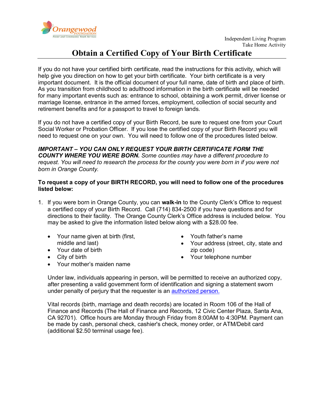

## **Obtain a Certified Copy of Your Birth Certificate**

If you do not have your certified birth certificate, read the instructions for this activity, which will help give you direction on how to get your birth certificate. Your birth certificate is a very important document. It is the official document of your full name, date of birth and place of birth. As you transition from childhood to adulthood information in the birth certificate will be needed for many important events such as: entrance to school, obtaining a work permit, driver license or marriage license, entrance in the armed forces, employment, collection of social security and retirement benefits and for a passport to travel to foreign lands.

If you do not have a certified copy of your Birth Record, be sure to request one from your Court Social Worker or Probation Officer. If you lose the certified copy of your Birth Record you will need to request one on your own. You will need to follow one of the procedures listed below.

*IMPORTANT – YOU CAN ONLY REQUEST YOUR BIRTH CERTIFICATE FORM THE COUNTY WHERE YOU WERE BORN. Some counties may have a different procedure to request. You will need to research the process for the county you were born in if you were not born in Orange County.*

## **To request a copy of your BIRTH RECORD, you will need to follow one of the procedures listed below:**

- 1. If you were born in Orange County, you can **walk-in** to the County Clerk's Office to request a certified copy of your Birth Record. Call (714) 834-2500 if you have questions and for directions to their facility. The Orange County Clerk's Office address is included below. You may be asked to give the information listed below along with a \$28.00 fee.
	- Your name given at birth (first, middle and last)
	- Your date of birth
	- City of birth
	- Your mother's maiden name
- Youth father's name
- Your address (street, city, state and zip code)
- Your telephone number

Under law, individuals appearing in person, will be permitted to receive an authorized copy, after presenting a valid government form of identification and signing a statement sworn under penalty of periury that the requester is an [authorized person.](http://www.oc.ca.gov/recorder/VitProc.htm)

Vital records (birth, marriage and death records) are located in Room 106 of the Hall of Finance and Records (The Hall of Finance and Records, 12 Civic Center Plaza, Santa Ana, CA 92701). Office hours are Monday through Friday from 8:00AM to 4:30PM. Payment can be made by cash, personal check, cashier's check, money order, or ATM/Debit card (additional \$2.50 terminal usage fee).